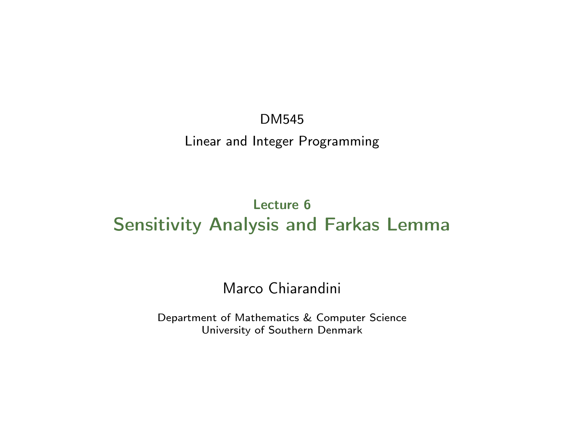DM545 Linear and Integer Programming

### Lecture 6 Sensitivity Analysis and Farkas Lemma

#### Marco Chiarandini

Department of Mathematics & Computer Science University of Southern Denmark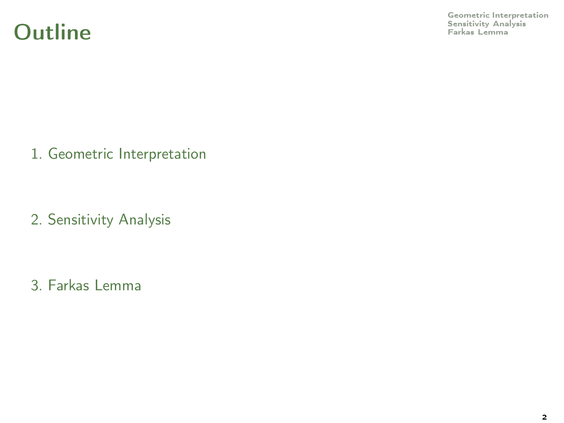### **Outline**

[Geometric Interpretation](#page-2-0)<br>Sensitivity Analysis<br>Farkas Lemma

1. [Geometric Interpretation](#page-2-0)

2. [Sensitivity Analysis](#page-5-0)

3. [Farkas Lemma](#page-15-0)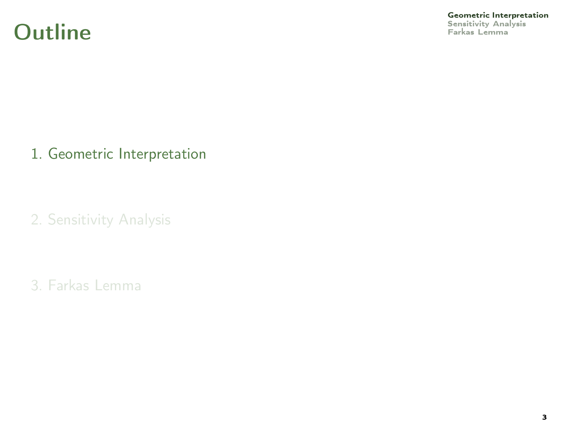### **Outline**

<span id="page-2-0"></span>**[Geometric Interpretation](#page-2-0)**<br>Sensitivity Analysis<br>Farkas Lemma

1. [Geometric Interpretation](#page-2-0)

2. [Sensitivity Analysis](#page-5-0)

3. [Farkas Lemma](#page-15-0)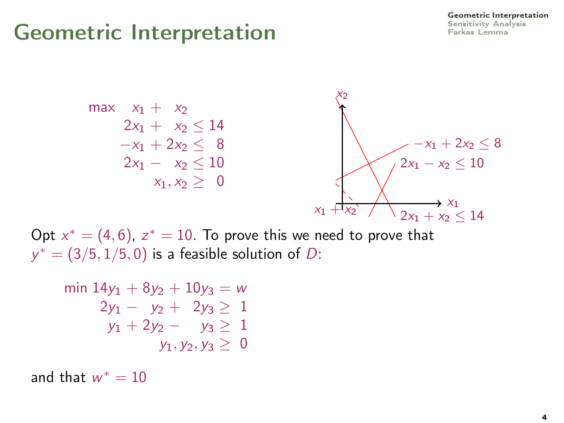

Opt  $x^* = (4, 6)$ ,  $z^* = 10$ . To prove this we need to prove that  $y^* = (3/5, 1/5, 0)$  is a feasible solution of D:

$$
\begin{array}{rcl}\n\min 14y_1 + 8y_2 + 10y_3 &=& w \\
2y_1 - y_2 + 2y_3 &=& 1 \\
y_1 + 2y_2 - y_3 &=& 1 \\
y_1, y_2, y_3 &=& 0\n\end{array}
$$

and that  $w^* = 10$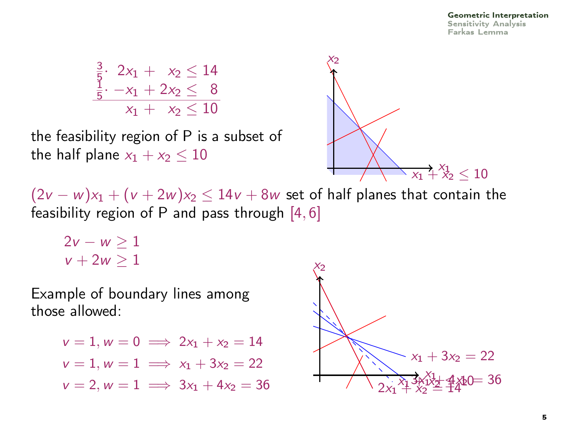#### [Geometric Interpretation](#page-2-0) [Sensitivity Analysis](#page-5-0) [Farkas Lemma](#page-15-0)

$$
\begin{array}{c}\n\frac{3}{5} \cdot 2x_1 + x_2 \le 14 \\
\frac{1}{5} \cdot -x_1 + 2x_2 \le 8 \\
\hline\nx_1 + x_2 \le 10\n\end{array}
$$

the feasibility region of P is a subset of the half plane  $x_1 + x_2 < 10$ 



 $(2v - w)x_1 + (v + 2w)x_2 \le 14v + 8w$  set of half planes that contain the feasibility region of P and pass through  $[4, 6]$ 

 $2v - w > 1$  $v + 2w > 1$ 

Example of boundary lines among those allowed:

$$
v = 1, w = 0 \implies 2x_1 + x_2 = 14
$$
  
\n
$$
v = 1, w = 1 \implies x_1 + 3x_2 = 22
$$
  
\n
$$
v = 2, w = 1 \implies 3x_1 + 4x_2 = 36
$$
  
\n
$$
2x_1 + 3x_2 = 22
$$
  
\n
$$
2x_1 + 3x_2 = 44
$$
  
\n
$$
2x_1 + 3x_2 = 44
$$

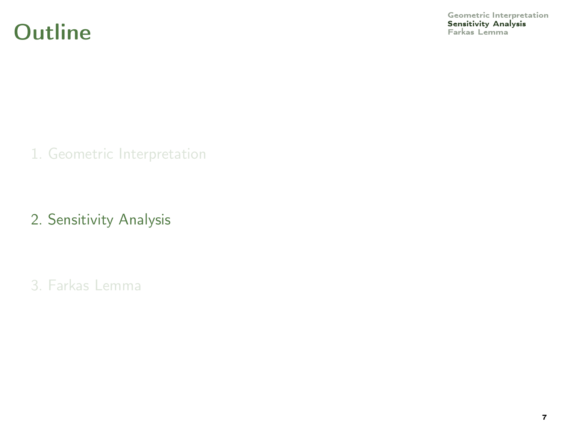

<span id="page-5-0"></span>[Geometric Interpretation](#page-2-0)<br>**Sensitivity Analysis**<br>Farkas Lemma

1. [Geometric Interpretation](#page-2-0)

2. [Sensitivity Analysis](#page-5-0)

3. [Farkas Lemma](#page-15-0)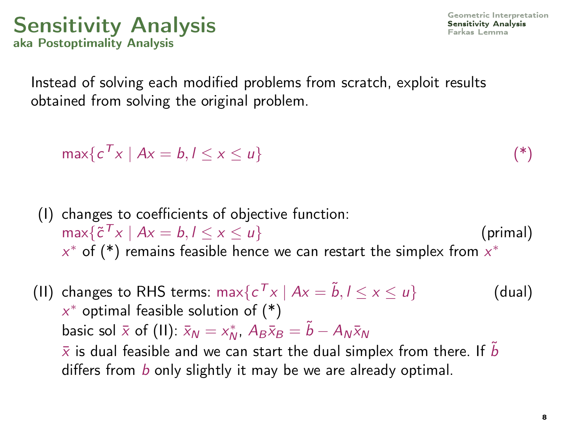### [Sensitivity Analysis](#page-5-0) Sensitivity Analysis aka Postoptimality Analysis

Instead of solving each modified problems from scratch, exploit results obtained from solving the original problem.

$$
\max\{c^T x \mid Ax = b, l \le x \le u\} \tag{*}
$$

- (I) changes to coefficients of objective function:  $\max\{\tilde{c}^T x \mid Ax = b, l \leq x \leq u\}$  (primal)  $x^*$  of (\*) remains feasible hence we can restart the simplex from  $x^*$
- (II) changes to RHS terms:  $\max\{c^T x \mid Ax = \tilde{b}, l \le x \le u\}$  (dual)  $x^*$  optimal feasible solution of  $(*)$ basic sol  $\bar{x}$  of (II):  $\bar{x}_N = x_N^*$ ,  $A_B\bar{x}_B = \tilde{b} - A_N\bar{x}_N$  $\bar{x}$  is dual feasible and we can start the dual simplex from there. If b differs from b only slightly it may be we are already optimal.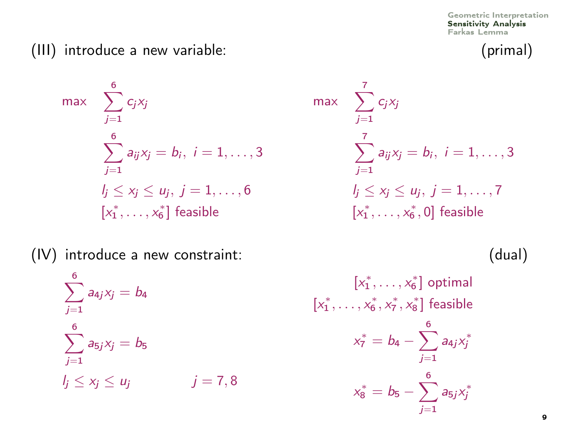### (III) introduce a new variable: (primal)

max 
$$
\sum_{j=1}^{6} c_j x_j
$$
  
\n $\sum_{j=1}^{6} a_{ij} x_j = b_i, i = 1, ..., 3$   
\n $l_j \le x_j \le u_j, j = 1, ..., 6$   
\n $[x_1^*, ..., x_6^*]$  feasible

$$
\max \sum_{j=1}^{7} c_j x_j
$$
\n
$$
\sum_{j=1}^{7} a_{ij} x_j = b_i, \ i = 1, ..., 3
$$
\n
$$
l_j \le x_j \le u_j, \ j = 1, ..., 7
$$
\n
$$
[x_1^*, ..., x_6^*, 0] \text{ feasible}
$$

(IV) introduce a new constraint: (dual)

$$
\sum_{j=1}^{6} a_{4j}x_j = b_4
$$
  

$$
\sum_{j=1}^{6} a_{5j}x_j = b_5
$$
  

$$
l_j \le x_j \le u_j \qquad j = 7, 8
$$

$$
[x_1^*, \dots, x_6^*] \text{ optimal}
$$
  

$$
x_1^*, \dots, x_6^*, x_7^*, x_8^*] \text{ feasible}
$$
  

$$
x_7^* = b_4 - \sum_{j=1}^6 a_{4j} x_j^*
$$
  

$$
x_8^* = b_5 - \sum_{j=1}^6 a_{5j} x_j^*
$$

 $[$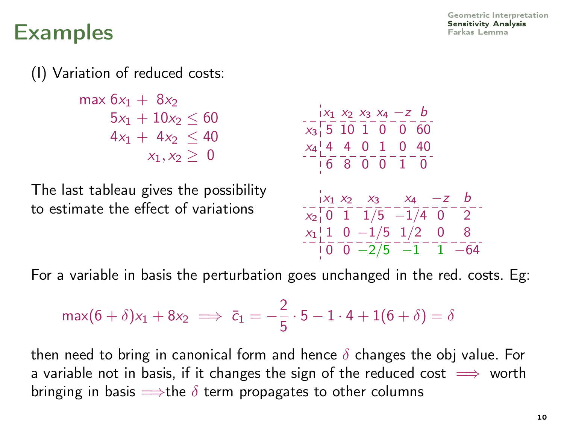(I) Variation of reduced costs:

max  $6x_1 + 8x_2$  $5x_1 + 10x_2 \leq 60$  $4x_1 + 4x_2 < 40$  $x_1, x_2 > 0$ 

The last tableau gives the possibility to estimate the effect of variations

$$
\begin{array}{r}\n\begin{array}{r}\n x_1 \ x_2 \ x_3 \ x_4 \ -2 \ b \\
 x_3 \ \end{array} \\
 x_4 \ \begin{array}{r}\n 16 \ \ 10 \ \ 10 \ \ 0 \ \end{array} \\
 x_2 \ \begin{array}{r}\n x_1 \ x_2 \ x_3 \ x_4 \ -2 \ b \\
 \end{array} \\
 x_4 \ \begin{array}{r}\n x_1 \ x_2 \ x_3 \ -\ x_4 \ -2 \ b \\
 x_2 \ \end{array} \\
 x_3 \ \begin{array}{r}\n x_1 \ x_2 \ x_3 \ x_4 \ -2 \ b \\
 x_2 \ \end{array} \\
 x_1 \ \begin{array}{r}\n x_1 \ x_2 \ x_3 \ x_4 \ -2 \ b \\
 x_2 \ \end{array} \\
 x_1 \ \begin{array}{r}\n 11 \ \ 0 \ -1/5 \ \ 1/2 \ \ 0 \ \ 8 \\
 \end{array} \\
 x_1 \ \begin{array}{r}\n x_1 \ \ 1 \ \ 0 \ -2/5 \ \ -1 \ \ -1 \ \ -64\n \end{array}\n \end{array}
$$

For a variable in basis the perturbation goes unchanged in the red. costs. Eg:

$$
\max(6+\delta)x_1 + 8x_2 \implies \bar{c}_1 = -\frac{2}{5} \cdot 5 - 1 \cdot 4 + 1(6+\delta) = \delta
$$

then need to bring in canonical form and hence  $\delta$  changes the obj value. For a variable not in basis, if it changes the sign of the reduced cost  $\implies$  worth bringing in basis  $\Longrightarrow$ the  $\delta$  term propagates to other columns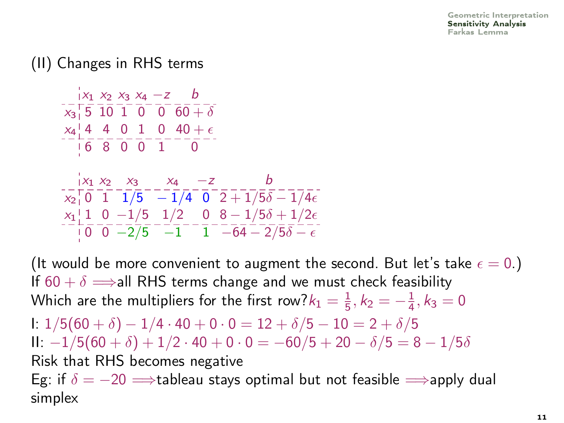### (II) Changes in RHS terms

$$
\begin{array}{l|l} \hline |x_1 \times_2 x_3 \times_4 -z & b \\ \hline x_5 \overline{\phantom{0}} 5 & 10 & 1 & 0 & 0 & 60 + \delta \\ \hline x_4 \underline{\phantom{0}} 4 & 4 & 0 & 1 & 0 & 40 + \epsilon \\ \hline \hline 6 & 8 & 0 & 0 & 1 & 0 \\ \hline \end{array}
$$
\n
$$
\begin{array}{l|l} \hline x_1 \times_2 & x_3 & x_4 & -z & b \\ \hline x_2 \overline{\phantom{0}} 0 & 1 & 1/5 & -1/4 & 0 & 2 + 1/5\delta - 1/4\epsilon \\ \hline x_1 \underline{\phantom{0}} 1 & 1 & 0 & -1/5 & 1/2 & 0 & 8 - 1/5\delta + 1/2\epsilon \\ \hline \hline 1 & 0 & -2/5 & -1 & 1 & -64 - 2/5\delta - \epsilon \end{array}
$$

(It would be more convenient to augment the second. But let's take  $\epsilon = 0$ .) If  $60 + \delta \implies$ all RHS terms change and we must check feasibility Which are the multipliers for the first row? $k_1 = \frac{1}{5}$ ,  $k_2 = -\frac{1}{4}$ ,  $k_3 = 0$ I:  $1/5(60 + \delta) - 1/4 \cdot 40 + 0 \cdot 0 = 12 + \delta/5 - 10 = 2 + \delta/5$ II:  $-1/5(60 + \delta) + 1/2 \cdot 40 + 0 \cdot 0 = -60/5 + 20 - \delta/5 = 8 - 1/5\delta$ Risk that RHS becomes negative Eg: if  $\delta = -20 \implies$ tableau stays optimal but not feasible  $\implies$ apply dual simplex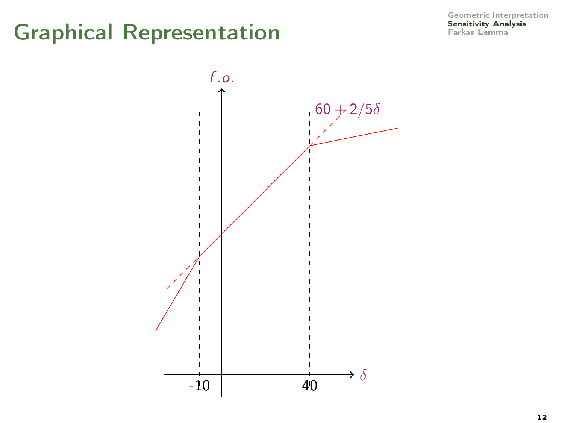# **Graphical Representation**

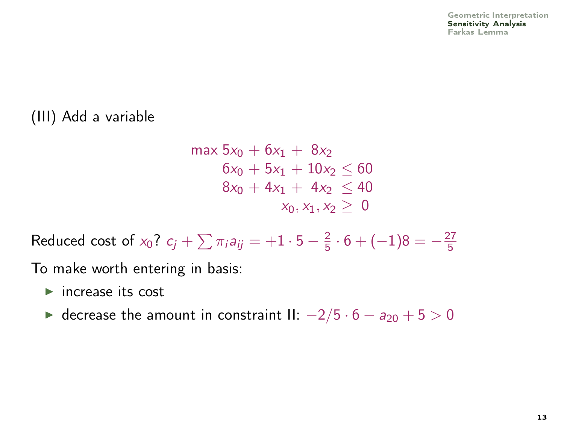### (III) Add a variable

$$
\max 5x_0 + 6x_1 + 8x_2 \n6x_0 + 5x_1 + 10x_2 \le 60 \n8x_0 + 4x_1 + 4x_2 \le 40 \nx_0, x_1, x_2 \ge 0
$$

Reduced cost of  $x_0$ ?  $c_j + \sum \pi_i a_{ij} = +1 \cdot 5 - \frac{2}{5} \cdot 6 + (-1)8 = -\frac{27}{5}$ 

To make worth entering in basis:

- $\blacktriangleright$  increase its cost
- ► decrease the amount in constraint II:  $-2/5 \cdot 6 a_{20} + 5 > 0$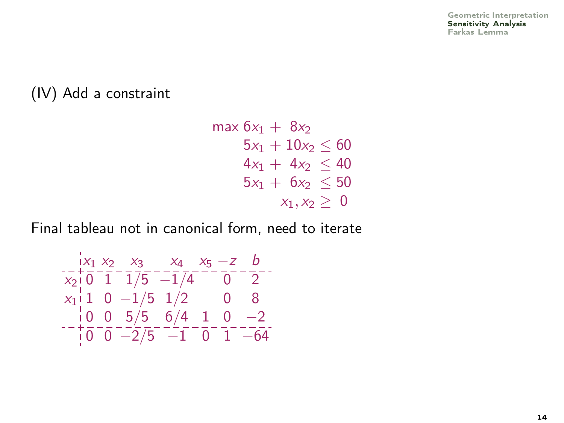#### (IV) Add a constraint

 $max 6x_1 + 8x_2$  $5x_1 + 10x_2 \le 60$  $4x_1 + 4x_2 \leq 40$  $5x_1 + 6x_2 \leq 50$  $x_1, x_2 \geq 0$ 

Final tableau not in canonical form, need to iterate

$$
\begin{array}{c|cccccc} & x_1 & x_2 & x_3 & x_4 & x_5 & -z & b \\ \hline x_2 & 0 & 1 & 1/5 & -1/4 & 0 & 2 \\ x_1 & 1 & 0 & -1/5 & 1/2 & 0 & 8 \\ -1 & 0 & 0 & 5/5 & 6/4 & 1 & 0 & -2 \\ \hline 0 & 0 & -2/5 & -1 & 0 & 1 & -64 \\ \end{array}.
$$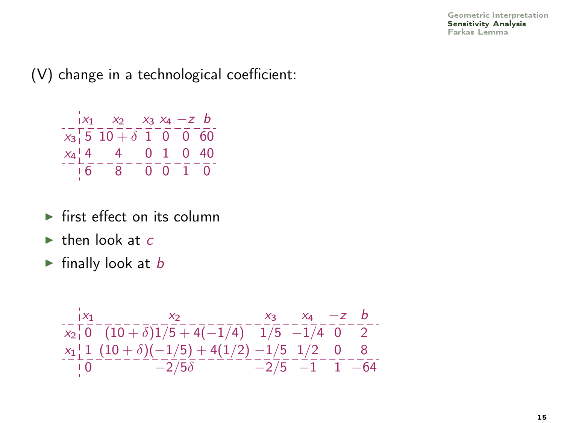[Geometric Interpretation](#page-2-0) [Sensitivity Analysis](#page-5-0) [Farkas Lemma](#page-15-0)

(V) change in a technological coefficient:

$$
\begin{array}{r|rrrr}\n & x_1 & x_2 & x_3 & x_4 & -z & b \\
\hline\nx_3 & 5 & 10 & + & 0 & 0 & 60 \\
x_4 & 4 & -4 & 0 & 1 & 0 & 40 \\
\hline\n & 6 & 8 & 0 & 0 & 1 & 0\n\end{array}
$$

- $\blacktriangleright$  first effect on its column
- $\blacktriangleright$  then look at c
- $\blacktriangleright$  finally look at b

$$
\begin{array}{r} \n\begin{array}{r}\n x_1 \\
 x_1 \over 6\n \end{array} \\
 x_2 + \overline{) (10 + \delta)} \\
 x_3 + \overline{) (10 + \delta)} \\
 x_4 + \overline{) (10 + \delta)} \\
 x_5 + \overline{) (10 + \delta)} \\
 x_6 + \overline{) (10 + \delta)} \\
 -2/5 \overline{) 6}\n \end{array}
$$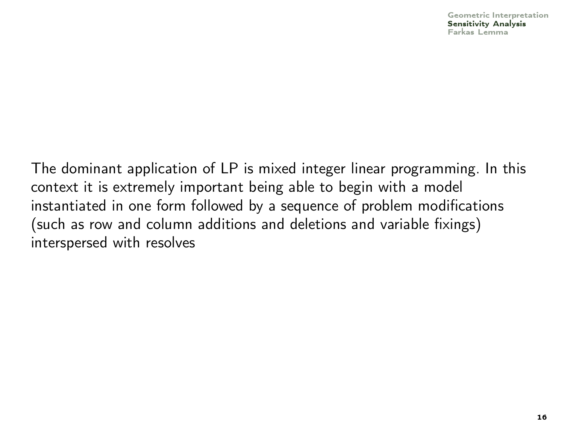The dominant application of LP is mixed integer linear programming. In this context it is extremely important being able to begin with a model instantiated in one form followed by a sequence of problem modifications (such as row and column additions and deletions and variable fixings) interspersed with resolves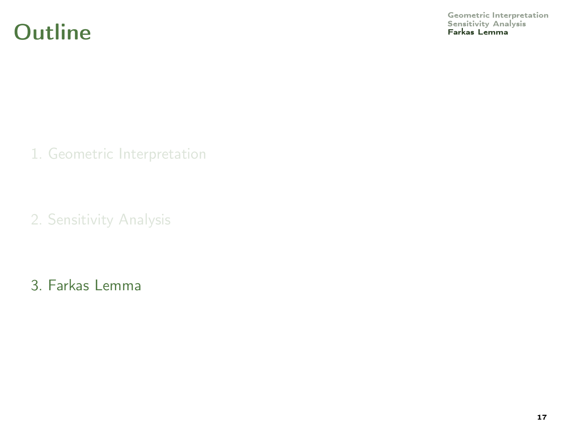### **Outline**

<span id="page-15-0"></span>[Geometric Interpretation](#page-2-0)<br>Sensitivity Analysis<br>**Farkas Lemma** 

1. [Geometric Interpretation](#page-2-0)

2. [Sensitivity Analysis](#page-5-0)

3. [Farkas Lemma](#page-15-0)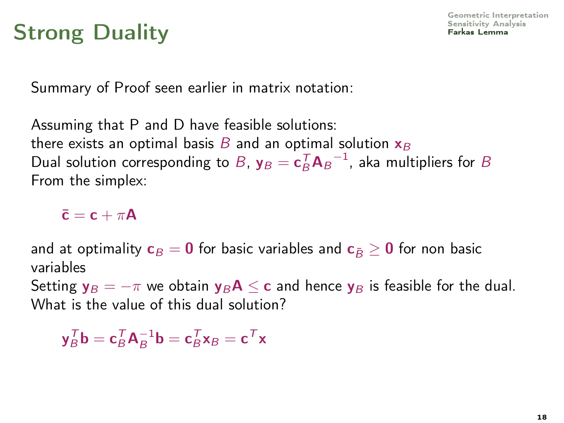Summary of Proof seen earlier in matrix notation:

Assuming that P and D have feasible solutions: there exists an optimal basis  $B$  and an optimal solution  $x_B$ Dual solution corresponding to B,  $y_B = c_B^T A_B^{-1}$ , aka multipliers for B From the simplex:

 $\bar{c} = c + \pi A$ 

and at optimality  $c_B = 0$  for basic variables and  $c_{\bar{B}} > 0$  for non basic variables

Setting  $y_B = -\pi$  we obtain  $y_B A \leq c$  and hence  $y_B$  is feasible for the dual. What is the value of this dual solution?

 $\mathbf{y}_{B}^{\mathsf{T}}\mathbf{b} = \mathbf{c}_{B}^{\mathsf{T}}\mathbf{A}_{B}^{-1}\mathbf{b} = \mathbf{c}_{B}^{\mathsf{T}}\mathbf{x}_{B} = \mathbf{c}^{\mathsf{T}}\mathbf{x}$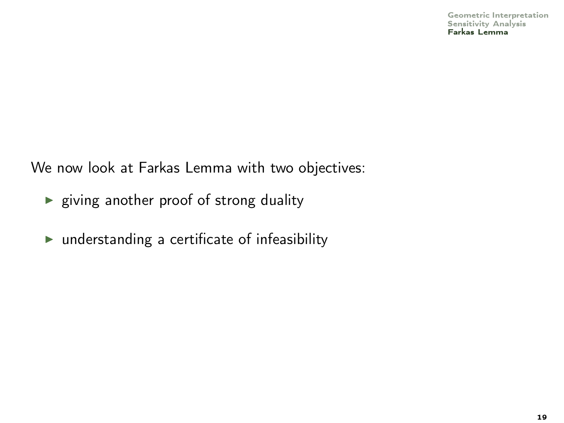We now look at Farkas Lemma with two objectives:

- $\blacktriangleright$  giving another proof of strong duality
- $\blacktriangleright$  understanding a certificate of infeasibility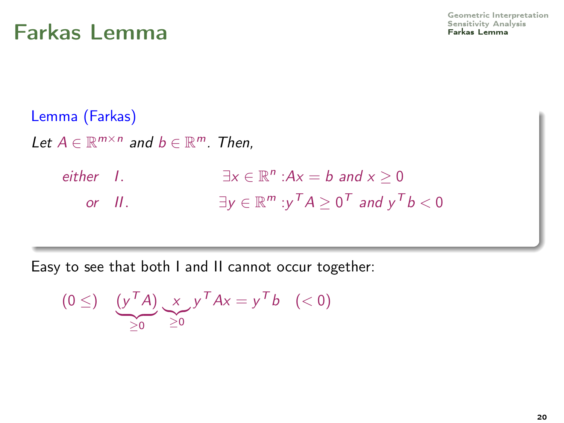Lemma (Farkas) Let  $A \in \mathbb{R}^{m \times n}$  and  $b \in \mathbb{R}^m$ . Then,  $either$   $\bot$  $n : Ax = b$  and  $x \ge 0$ or II.  $\exists y \in \mathbb{R}^m : y^T A \geq 0^T$  and  $y^T b < 0$ 

Easy to see that both I and II cannot occur together:

 $(0 \leq)$   $(y^T A)$  $\geq 0$ x  $\geq 0$  $y^T A x = y^T b \quad (< 0)$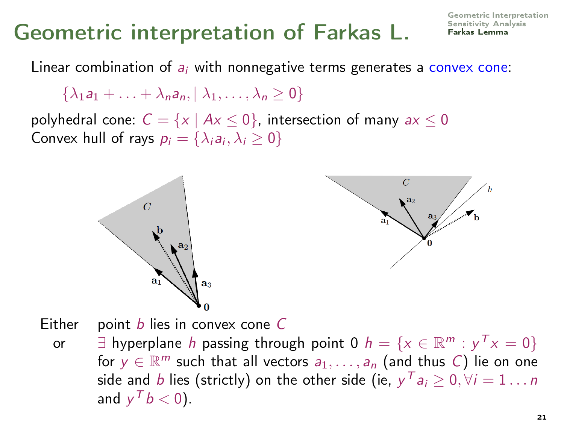[Geometric Interpretation](#page-2-0)

Linear combination of  $a_i$  with nonnegative terms generates a convex cone:

 $\{\lambda_1a_1 + \ldots + \lambda_na_n, |\lambda_1, \ldots, \lambda_n \geq 0\}$ 

polyhedral cone:  $C = \{x \mid Ax \le 0\}$ , intersection of many  $ax \le 0$ Convex hull of rays  $p_i = \{\lambda_i a_i, \lambda_i \geq 0\}$ 



Either point  $b$  lies in convex cone  $C$ or  $\exists$  hyperplane h passing through point 0  $h = \{x \in \mathbb{R}^m : y^T x = 0\}$ for  $y \in \mathbb{R}^m$  such that all vectors  $a_1, \ldots, a_n$  (and thus C) lie on one side and  $b$  lies (strictly) on the other side (ie,  $y^T a_i \geq 0, \forall i = 1 \ldots n$ and  $y^T b < 0$ ).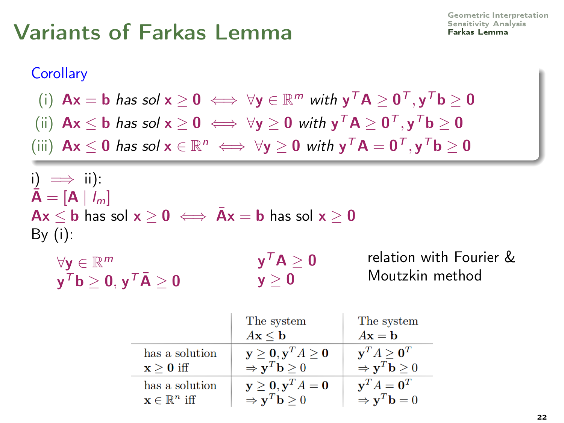#### **Corollary**

$$
\text{(i)} \ \ \textbf{A} \textbf{x} = \textbf{b} \ \textit{has sol} \ \textbf{x} \geq \textbf{0} \iff \forall \textbf{y} \in \mathbb{R}^m \ \textit{with} \ \textbf{y}^T \textbf{A} \geq \textbf{0}^T, \textbf{y}^T \textbf{b} \geq \textbf{0}
$$

- (ii)  $\mathsf{Ax} \leq \mathsf{b}$  has sol  $\mathsf{x} \geq \mathsf{0} \iff \forall \mathsf{y} \geq \mathsf{0}$  with  $\mathsf{y}^\mathsf{T} \mathsf{A} \geq \mathsf{0}^\mathsf{T}, \mathsf{y}^\mathsf{T} \mathsf{b} \geq \mathsf{0}$
- (iii)  $Ax \le 0$  has sol  $x \in \mathbb{R}^n \iff \forall y \ge 0$  with  $y^T A = 0^T, y^T b \ge 0$

i)  $\implies$  ii):  $A = [A \mid l_m]$  $Ax \le b$  has sol  $x \ge 0 \iff \bar{A}x = b$  has sol  $x \ge 0$ By  $(i)$ :

| $\forall \mathbf{y} \in \mathbb{R}^m$ |  |
|---------------------------------------|--|
| $y^T b \ge 0, y^T \overline{A} \ge 0$ |  |

relation with Fourier & Moutzkin method

|                                   | The system                                     | The system                                     |
|-----------------------------------|------------------------------------------------|------------------------------------------------|
|                                   | $A\mathbf{x} \leq \mathbf{b}$                  | $A\mathbf{x} = \mathbf{b}$                     |
| has a solution                    | $y \ge 0, y^T A \ge 0$                         | $y^T A > 0^T$                                  |
| $x > 0$ iff                       | $\Rightarrow$ y <sup>T</sup> <b>b</b> $\geq$ 0 | $\Rightarrow$ y <sup>T</sup> <b>b</b> $\geq$ 0 |
| has a solution                    | $y \ge 0, y^T A = 0$                           | $\mathbf{v}^T A = \mathbf{0}^T$                |
| $\mathbf{x} \in \mathbb{R}^n$ iff | $\Rightarrow$ $\mathbf{v}^T \mathbf{b} \geq 0$ | $\Rightarrow$ y <sup>T</sup> <b>b</b> = 0      |

 $\mathsf{y}^{\,\mathsf{T}}\mathsf{A}\geq\mathsf{0}$  $y > 0$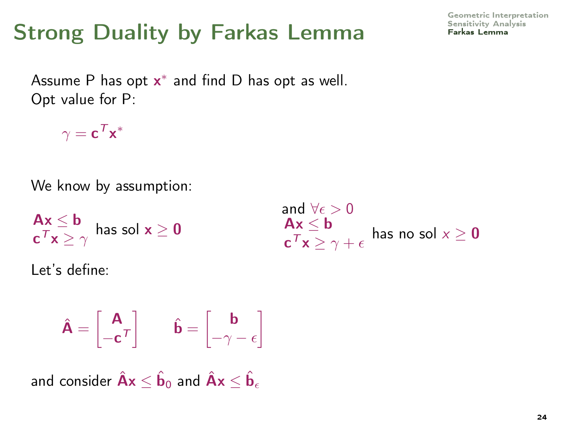Assume P has opt  $x^*$  and find D has opt as well. Opt value for P:

 $\gamma = \mathbf{c}^{\,T}\mathbf{x}^*$ 

We know by assumption:

$$
\begin{array}{l}{\textbf{A}}{\textbf{x}} \leq {\textbf{b}}\\ {\textbf{c}}^T{\textbf{x}} \geq \gamma \end{array} \text{ has sol } {\textbf{x}} \geq {\textbf{0}}
$$

Let's define:

$$
\hat{\mathbf{A}} = \begin{bmatrix} \mathbf{A} \\ -\mathbf{c}^T \end{bmatrix} \qquad \hat{\mathbf{b}} = \begin{bmatrix} \mathbf{b} \\ -\gamma - \epsilon \end{bmatrix}
$$

and consider  $\hat{\mathsf{A}}\mathsf{x}\leq \hat{\mathsf{b}}_\text{o}$  and  $\hat{\mathsf{A}}\mathsf{x}\leq \hat{\mathsf{b}}_\epsilon$ 

[Geometric Interpretation](#page-2-0)

$$
\begin{array}{l} \text{and }\forall \epsilon > 0 \\ \textbf{Ax} \leq \textbf{b} \\ \textbf{c}^T \textbf{x} \geq \gamma + \epsilon \end{array} \text{ has no sol } x \geq \textbf{0}
$$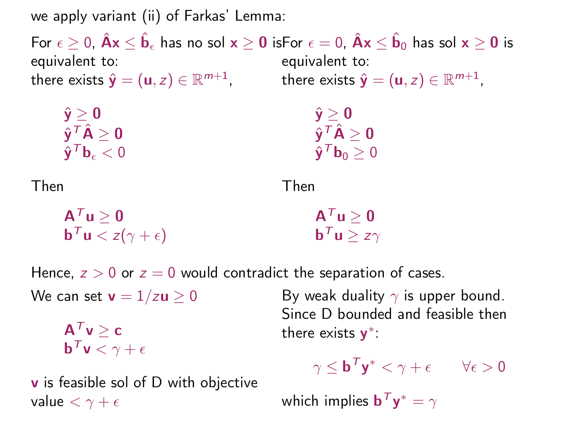we apply variant (ii) of Farkas' Lemma:

For  $\epsilon\geq 0$ ,  $\hat{\mathsf{A}}\mathsf{x}\leq \hat{\mathsf{b}}_\epsilon$  has no sol  $\mathsf{x}\geq \mathsf{0}$  isFor  $\epsilon=0$ ,  $\hat{\mathsf{A}}\mathsf{x}\leq \hat{\mathsf{b}}_0$  has sol  $\mathsf{x}\geq \mathsf{0}$  is equivalent to: there exists  $\hat{\textbf{y}} = (\textbf{u},z) \in \mathbb{R}^{m+1}$ , there exists  $\hat{\textbf{y}} = (\textbf{u},z) \in \mathbb{R}^{m+1}$ , equivalent to:

$$
\begin{array}{l}{\hat{\mathbf{y}}} \geq \mathbf{0} \\ {\hat{\mathbf{y}}}^{\mathcal{T}}\hat{\mathbf{A}} \geq \mathbf{0} \\ {\hat{\mathbf{y}}}^{\mathcal{T}}\mathbf{b}_\epsilon < 0 \end{array}
$$

 $\hat{\mathbf{y}} > \mathbf{0}$  $\hat{\mathbf{y}}^{\mathsf{T}}\hat{\mathsf{A}}\ge\mathbf{0}$  $\hat{\mathbf{y}}^T \mathbf{b}_0 \geq 0$ 

Then

Then

$$
\begin{aligned}\n\mathbf{A}^T \mathbf{u} &\geq \mathbf{0} \\
\mathbf{b}^T \mathbf{u} &< z(\gamma + \epsilon) \\
\end{aligned}
$$
\n
$$
\mathbf{A}^T \mathbf{u} \geq \mathbf{0} \\
\mathbf{b}^T \mathbf{u} &\geq z\gamma
$$

Hence,  $z > 0$  or  $z = 0$  would contradict the separation of cases.

We can set  $v = 1/zu > 0$ 

 $A^T v > c$  $\mathbf{b}^\mathcal{T}\mathbf{v}<\gamma+\epsilon$ 

**v** is feasible sol of D with objective value  $< \gamma + \epsilon$ 

By weak duality  $\gamma$  is upper bound. Since D bounded and feasible then there exists  $y^*$ :

$$
\gamma \leq \mathbf{b}^T \mathbf{y}^* < \gamma + \epsilon \qquad \forall \epsilon > 0
$$

which implies  $\mathbf{b}^T \mathbf{y}^* = \gamma$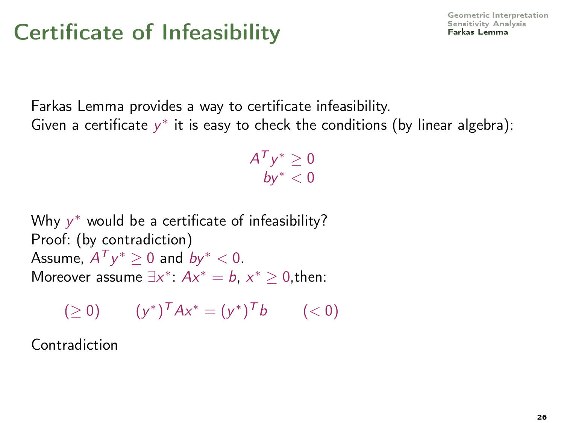# $\sum_{\text{Serkas Lemma}}$

Farkas Lemma provides a way to certificate infeasibility. Given a certificate  $y^*$  it is easy to check the conditions (by linear algebra):

> $A^{\mathcal{T}} y^* \geq 0$  $b v^* < 0$

Why  $y^*$  would be a certificate of infeasibility? Proof: (by contradiction) Assume,  $A^T y^* \ge 0$  and  $b y^* < 0$ . Moreover assume  $\exists x^*$ :  $Ax^* = b$ ,  $x^* \geq 0$ , then:

$$
(\geq 0) \qquad (y^*)^T A x^* = (y^*)^T b \qquad (<0)
$$

Contradiction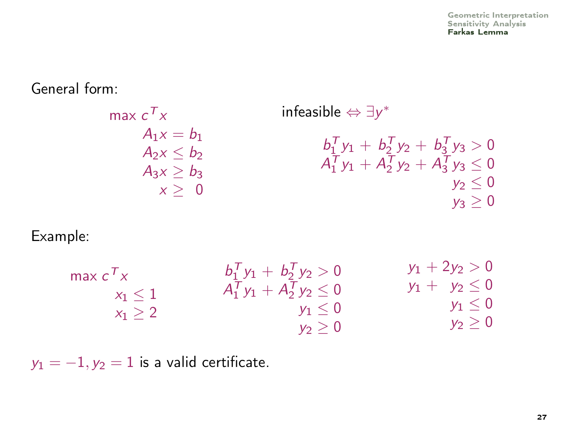### General form:

$$
\begin{array}{ll}\n\max \, c^T x & \text{infeasible} \Leftrightarrow \exists y^* \\
A_1 x = b_1 \\
A_2 x \leq b_2 \\
A_3 x \geq b_3 \\
x \geq 0\n\end{array}\n\quad\n\begin{array}{ll}\n\text{infeasible} \Leftrightarrow \exists y^* \\
b_1^T y_1 + b_2^T y_2 + b_3^T y_3 > 0 \\
A_1^T y_1 + A_2^T y_2 + A_3^T y_3 \leq 0 \\
y_2 \leq 0 \\
y_3 \geq 0\n\end{array}
$$

#### Example:

| max $c^Tx$ | $b_1^Ty_1 + b_2^Ty_2 > 0$      | $y_1 + 2y_2 > 0$   |
|------------|--------------------------------|--------------------|
| $x_1 < 1$  | $A_1^T y_1 + A_2^T y_2 \leq 0$ | $y_1 + y_2 \leq 0$ |
| $x_1 > 2$  | $y_1 \leq 0$                   | $y_1 \leq 0$       |
|            | $v_2 > 0$                      | $y_2\geq 0$        |

 $y_1 = -1$ ,  $y_2 = 1$  is a valid certificate.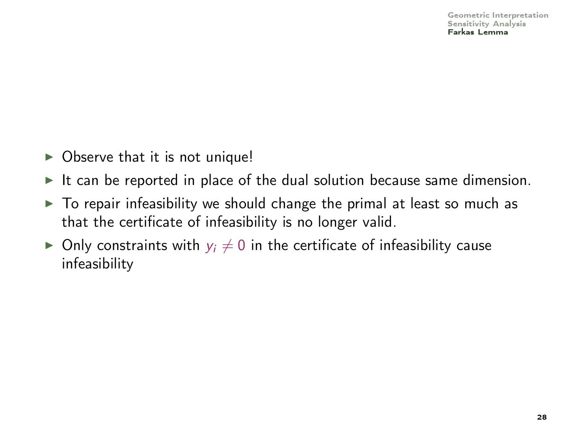- $\triangleright$  Observe that it is not unique!
- It can be reported in place of the dual solution because same dimension.
- $\triangleright$  To repair infeasibility we should change the primal at least so much as that the certificate of infeasibility is no longer valid.
- $\triangleright$  Only constraints with  $y_i \neq 0$  in the certificate of infeasibility cause infeasibility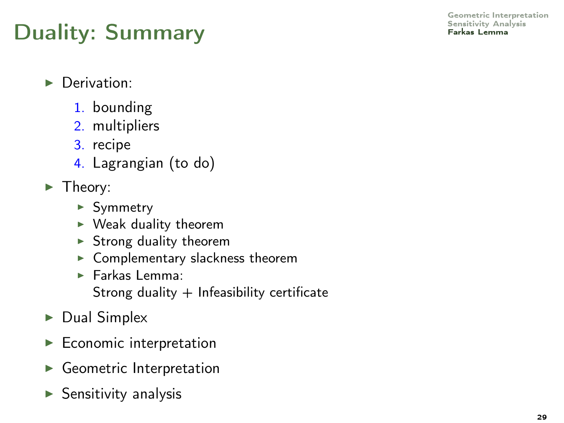[Geometric Interpretation](#page-2-0)

- **Derivation:** 
	- 1. bounding
	- 2. multipliers
	- 3. recipe
	- 4. Lagrangian (to do)
- $\blacktriangleright$  Theory:
	- $\blacktriangleright$  Symmetry
	- $\blacktriangleright$  Weak duality theorem
	- $\blacktriangleright$  Strong duality theorem
	- $\blacktriangleright$  Complementary slackness theorem
	- **Earkas Lemma:** 
		- Strong duality  $+$  Infeasibility certificate
- $\triangleright$  Dual Simplex
- $\blacktriangleright$  Economic interpretation
- Geometric Interpretation
- $\blacktriangleright$  Sensitivity analysis